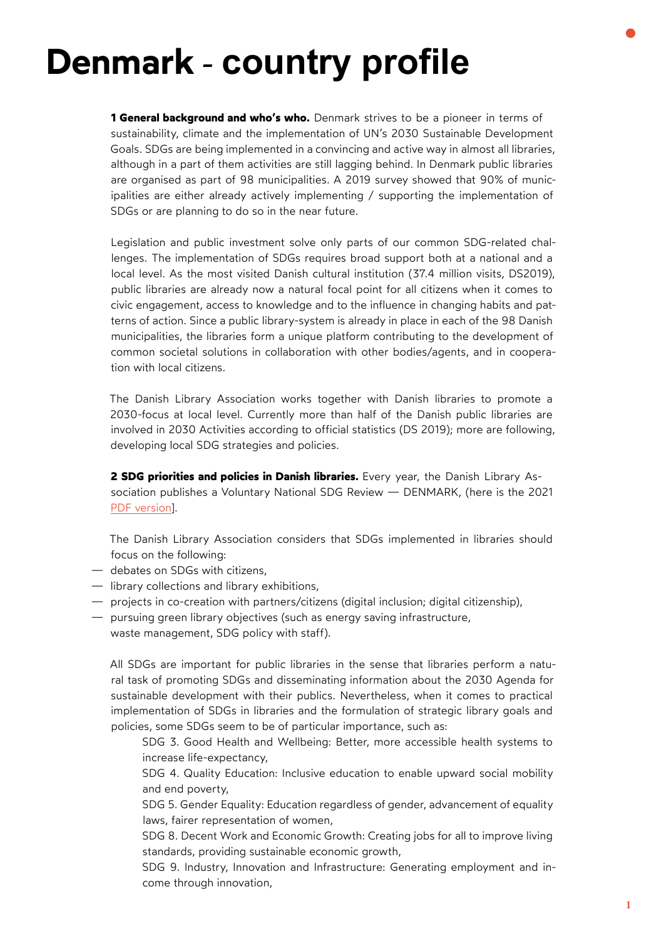## **Denmark - country profile**

**1 General background and who's who.** Denmark strives to be a pioneer in terms of sustainability, climate and the implementation of UN's 2030 Sustainable Development Goals. SDGs are being implemented in a convincing and active way in almost all libraries, although in a part of them activities are still lagging behind. In Denmark public libraries are organised as part of 98 municipalities. A 2019 survey showed that 90% of municipalities are either already actively implementing / supporting the implementation of SDGs or are planning to do so in the near future.

Legislation and public investment solve only parts of our common SDG-related challenges. The implementation of SDGs requires broad support both at a national and a local level. As the most visited Danish cultural institution (37.4 million visits, DS2019), public libraries are already now a natural focal point for all citizens when it comes to civic engagement, access to knowledge and to the influence in changing habits and patterns of action. Since a public library-system is already in place in each of the 98 Danish municipalities, the libraries form a unique platform contributing to the development of common societal solutions in collaboration with other bodies/agents, and in cooperation with local citizens.

The Danish Library Association works together with Danish libraries to promote a 2030-focus at local level. Currently more than half of the Danish public libraries are involved in 2030 Activities according to official statistics (DS 2019); more are following, developing local SDG strategies and policies.

**2 SDG priorities and policies in Danish libraries.** Every year, the Danish Library Association publishes a Voluntary National SDG Review — DENMARK, (here is the 2021 [PDF version\]](http://www.eblida.org/Activities/KIC/sdg/Voluntary-National-SDG-Review-2021-DENMARK.pdf).

The Danish Library Association considers that SDGs implemented in libraries should focus on the following:

- debates on SDGs with citizens,
- library collections and library exhibitions,
- projects in co-creation with partners/citizens (digital inclusion; digital citizenship),
- pursuing green library objectives (such as energy saving infrastructure,
	- waste management, SDG policy with staff).

All SDGs are important for public libraries in the sense that libraries perform a natural task of promoting SDGs and disseminating information about the 2030 Agenda for sustainable development with their publics. Nevertheless, when it comes to practical implementation of SDGs in libraries and the formulation of strategic library goals and policies, some SDGs seem to be of particular importance, such as:

SDG 3. Good Health and Wellbeing: Better, more accessible health systems to increase life-expectancy,

SDG 4. Quality Education: Inclusive education to enable upward social mobility and end poverty,

SDG 5. Gender Equality: Education regardless of gender, advancement of equality laws, fairer representation of women,

SDG 8. Decent Work and Economic Growth: Creating jobs for all to improve living standards, providing sustainable economic growth,

SDG 9. Industry, Innovation and Infrastructure: Generating employment and income through innovation,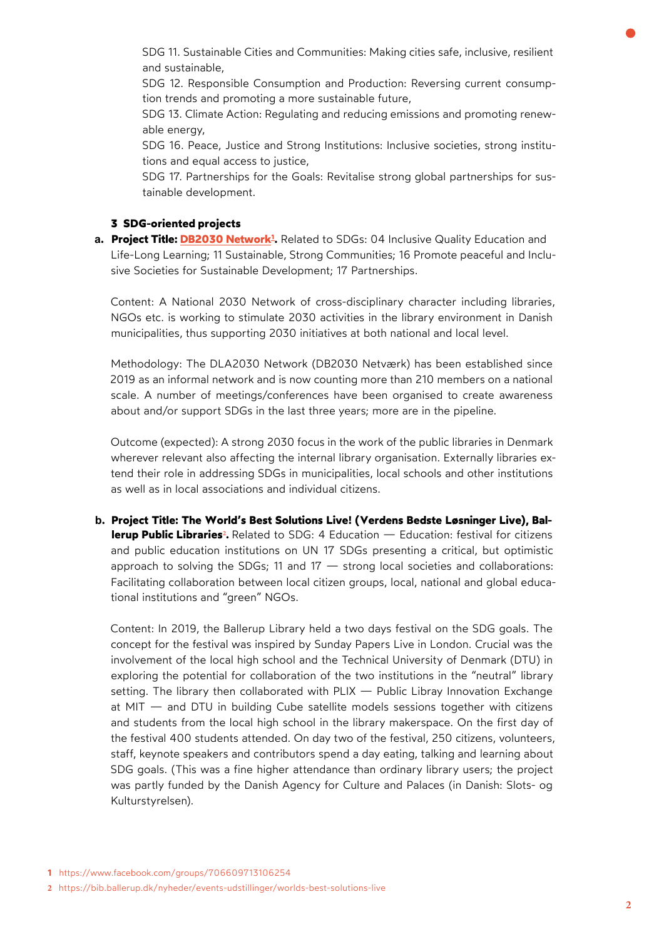SDG 11. Sustainable Cities and Communities: Making cities safe, inclusive, resilient and sustainable,

SDG 12. Responsible Consumption and Production: Reversing current consumption trends and promoting a more sustainable future,

SDG 13. Climate Action: Regulating and reducing emissions and promoting renewable energy,

SDG 16. Peace, Justice and Strong Institutions: Inclusive societies, strong institutions and equal access to justice,

SDG 17. Partnerships for the Goals: Revitalise strong global partnerships for sustainable development.

## **3 SDG-oriented projects**

**a. Project Title: [DB2030 Network](https://www.facebook.com/groups/706609713106254)<sup>1</sup> .** Related to SDGs: 04 Inclusive Quality Education and Life-Long Learning; 11 Sustainable, Strong Communities; 16 Promote peaceful and Inclusive Societies for Sustainable Development; 17 Partnerships.

Content: A National 2030 Network of cross-disciplinary character including libraries, NGOs etc. is working to stimulate 2030 activities in the library environment in Danish municipalities, thus supporting 2030 initiatives at both national and local level.

Methodology: The DLA2030 Network (DB2030 Netværk) has been established since 2019 as an informal network and is now counting more than 210 members on a national scale. A number of meetings/conferences have been organised to create awareness about and/or support SDGs in the last three years; more are in the pipeline.

Outcome (expected): A strong 2030 focus in the work of the public libraries in Denmark wherever relevant also affecting the internal library organisation. Externally libraries extend their role in addressing SDGs in municipalities, local schools and other institutions as well as in local associations and individual citizens.

**b. [Project Title: The World's Best Solutions Live! \(Verdens Bedste Løsninger Live\), Bal](https://bib.ballerup.dk/nyheder/events-udstillinger/worlds-best-solutions-live)lerup Public [Libraries](https://bib.ballerup.dk/nyheder/events-udstillinger/worlds-best-solutions-live) 2 .** Related to SDG: 4 Education — Education: festival for citizens and public education institutions on UN 17 SDGs presenting a critical, but optimistic approach to solving the SDGs; 11 and  $17 -$  strong local societies and collaborations: Facilitating collaboration between local citizen groups, local, national and global educational institutions and "green" NGOs.

Content: In 2019, the Ballerup Library held a two days festival on the SDG goals. The concept for the festival was inspired by Sunday Papers Live in London. Crucial was the involvement of the local high school and the Technical University of Denmark (DTU) in exploring the potential for collaboration of the two institutions in the "neutral" library setting. The library then collaborated with  $PLX -$  Public Libray Innovation Exchange at MIT — and DTU in building Cube satellite models sessions together with citizens and students from the local high school in the library makerspace. On the first day of the festival 400 students attended. On day two of the festival, 250 citizens, volunteers, staff, keynote speakers and contributors spend a day eating, talking and learning about SDG goals. (This was a fine higher attendance than ordinary library users; the project was partly funded by the Danish Agency for Culture and Palaces (in Danish: Slots- og Kulturstyrelsen).

**<sup>2</sup>** <https://bib.ballerup.dk/nyheder/events-udstillinger/worlds-best-solutions-live>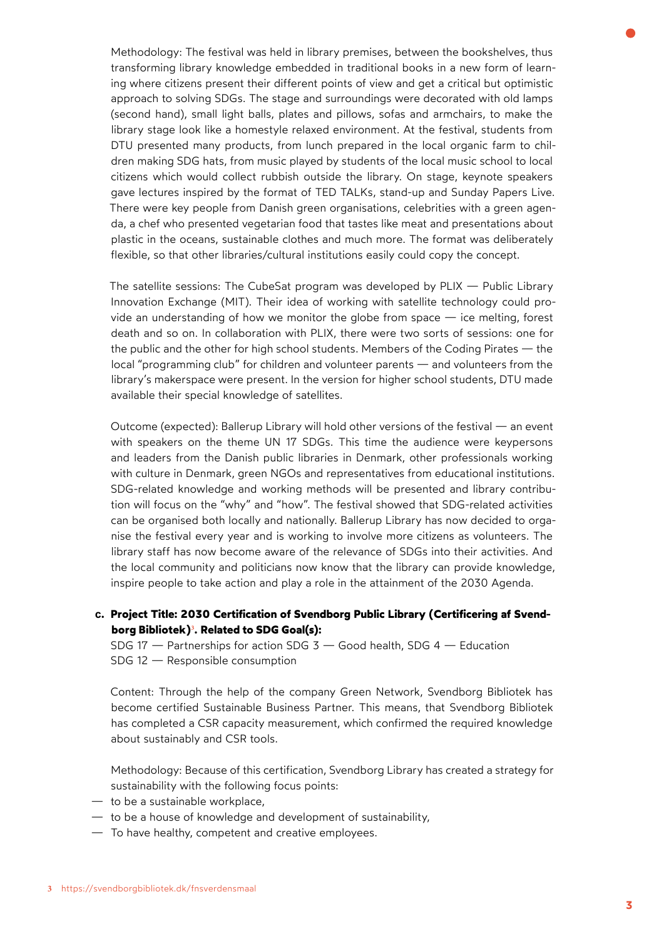Methodology: The festival was held in library premises, between the bookshelves, thus transforming library knowledge embedded in traditional books in a new form of learning where citizens present their different points of view and get a critical but optimistic approach to solving SDGs. The stage and surroundings were decorated with old lamps (second hand), small light balls, plates and pillows, sofas and armchairs, to make the library stage look like a homestyle relaxed environment. At the festival, students from DTU presented many products, from lunch prepared in the local organic farm to children making SDG hats, from music played by students of the local music school to local citizens which would collect rubbish outside the library. On stage, keynote speakers gave lectures inspired by the format of TED TALKs, stand-up and Sunday Papers Live. There were key people from Danish green organisations, celebrities with a green agenda, a chef who presented vegetarian food that tastes like meat and presentations about plastic in the oceans, sustainable clothes and much more. The format was deliberately flexible, so that other libraries/cultural institutions easily could copy the concept.

The satellite sessions: The CubeSat program was developed by PLIX — Public Library Innovation Exchange (MIT). Their idea of working with satellite technology could provide an understanding of how we monitor the globe from space — ice melting, forest death and so on. In collaboration with PLIX, there were two sorts of sessions: one for the public and the other for high school students. Members of the Coding Pirates — the local "programming club" for children and volunteer parents — and volunteers from the library's makerspace were present. In the version for higher school students, DTU made available their special knowledge of satellites.

Outcome (expected): Ballerup Library will hold other versions of the festival — an event with speakers on the theme UN 17 SDGs. This time the audience were keypersons and leaders from the Danish public libraries in Denmark, other professionals working with culture in Denmark, green NGOs and representatives from educational institutions. SDG-related knowledge and working methods will be presented and library contribution will focus on the "why" and "how". The festival showed that SDG-related activities can be organised both locally and nationally. Ballerup Library has now decided to organise the festival every year and is working to involve more citizens as volunteers. The library staff has now become aware of the relevance of SDGs into their activities. And the local community and politicians now know that the library can provide knowledge, inspire people to take action and play a role in the attainment of the 2030 Agenda.

**c. [Project Title: 2030 Certification of Svendborg Public Library \(Certificering af Svend](https://svendborgbibliotek.dk/fnsverdensmaal)borg Bibliotek) 3 . [Related to SDG Goal\(s\):](https://svendborgbibliotek.dk/fnsverdensmaal)**

SDG 17 — Partnerships for action SDG 3 — Good health, SDG 4 — Education SDG 12 — Responsible consumption

Content: Through the help of the company Green Network, Svendborg Bibliotek has become certified Sustainable Business Partner. This means, that Svendborg Bibliotek has completed a CSR capacity measurement, which confirmed the required knowledge about sustainably and CSR tools.

Methodology: Because of this certification, Svendborg Library has created a strategy for sustainability with the following focus points:

- to be a sustainable workplace,
- to be a house of knowledge and development of sustainability,
- To have healthy, competent and creative employees.